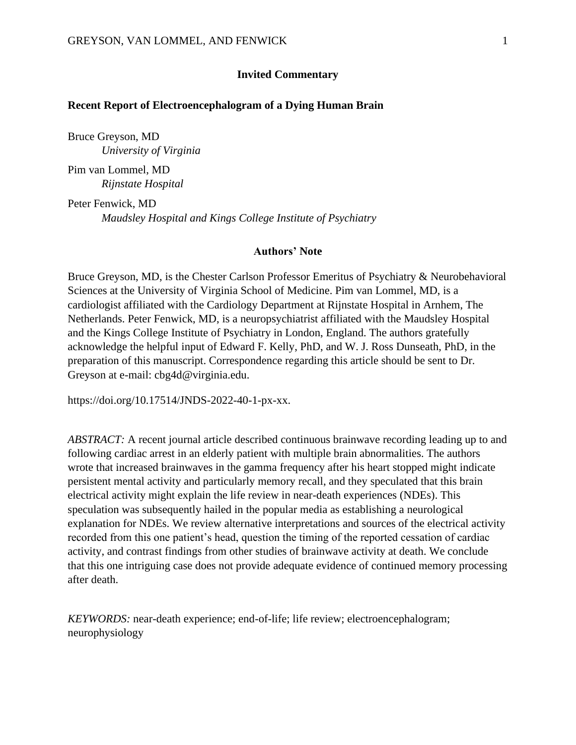## **Invited Commentary**

## **Recent Report of Electroencephalogram of a Dying Human Brain**

Bruce Greyson, MD *University of Virginia* 

Pim van Lommel, MD *Rijnstate Hospital*

Peter Fenwick, MD *Maudsley Hospital and Kings College Institute of Psychiatry*

#### **Authors' Note**

Bruce Greyson, MD, is the Chester Carlson Professor Emeritus of Psychiatry & Neurobehavioral Sciences at the University of Virginia School of Medicine. Pim van Lommel, MD, is a cardiologist affiliated with the Cardiology Department at Rijnstate Hospital in Arnhem, The Netherlands. Peter Fenwick, MD, is a neuropsychiatrist affiliated with the Maudsley Hospital and the Kings College Institute of Psychiatry in London, England. The authors gratefully acknowledge the helpful input of Edward F. Kelly, PhD, and W. J. Ross Dunseath, PhD, in the preparation of this manuscript. Correspondence regarding this article should be sent to Dr. Greyson at e-mail: cbg4d@virginia.edu.

https://doi.org/10.17514/JNDS-2022-40-1-px-xx.

*ABSTRACT:* A recent journal article described continuous brainwave recording leading up to and following cardiac arrest in an elderly patient with multiple brain abnormalities. The authors wrote that increased brainwaves in the gamma frequency after his heart stopped might indicate persistent mental activity and particularly memory recall, and they speculated that this brain electrical activity might explain the life review in near-death experiences (NDEs). This speculation was subsequently hailed in the popular media as establishing a neurological explanation for NDEs. We review alternative interpretations and sources of the electrical activity recorded from this one patient's head, question the timing of the reported cessation of cardiac activity, and contrast findings from other studies of brainwave activity at death. We conclude that this one intriguing case does not provide adequate evidence of continued memory processing after death.

*KEYWORDS:* near-death experience; end-of-life; life review; electroencephalogram; neurophysiology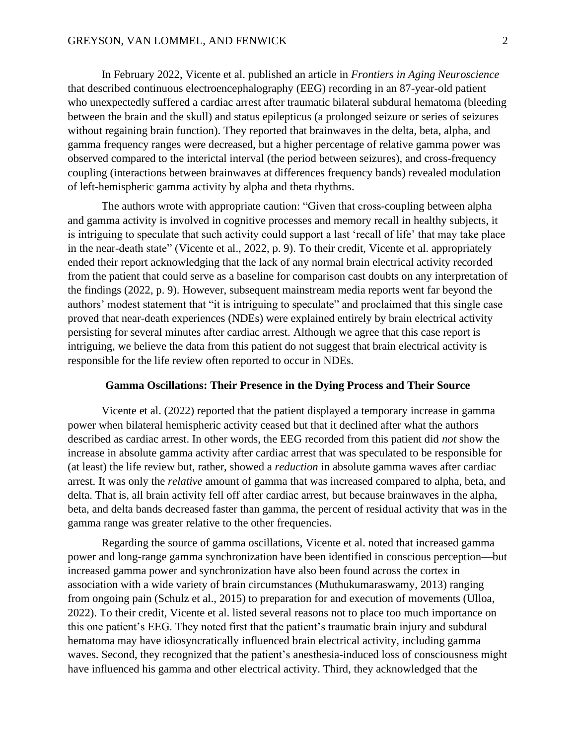In February 2022, Vicente et al. published an article in *Frontiers in Aging Neuroscience*  that described continuous electroencephalography (EEG) recording in an 87-year-old patient who unexpectedly suffered a cardiac arrest after traumatic bilateral subdural hematoma (bleeding between the brain and the skull) and status epilepticus (a prolonged seizure or series of seizures without regaining brain function). They reported that brainwaves in the delta, beta, alpha, and gamma frequency ranges were decreased, but a higher percentage of relative gamma power was observed compared to the interictal interval (the period between seizures), and cross-frequency coupling (interactions between brainwaves at differences frequency bands) revealed modulation of left-hemispheric gamma activity by alpha and theta rhythms.

The authors wrote with appropriate caution: "Given that cross-coupling between alpha and gamma activity is involved in cognitive processes and memory recall in healthy subjects, it is intriguing to speculate that such activity could support a last 'recall of life' that may take place in the near-death state" (Vicente et al., 2022, p. 9). To their credit, Vicente et al. appropriately ended their report acknowledging that the lack of any normal brain electrical activity recorded from the patient that could serve as a baseline for comparison cast doubts on any interpretation of the findings (2022, p. 9). However, subsequent mainstream media reports went far beyond the authors' modest statement that "it is intriguing to speculate" and proclaimed that this single case proved that near-death experiences (NDEs) were explained entirely by brain electrical activity persisting for several minutes after cardiac arrest. Although we agree that this case report is intriguing, we believe the data from this patient do not suggest that brain electrical activity is responsible for the life review often reported to occur in NDEs.

#### **Gamma Oscillations: Their Presence in the Dying Process and Their Source**

Vicente et al. (2022) reported that the patient displayed a temporary increase in gamma power when bilateral hemispheric activity ceased but that it declined after what the authors described as cardiac arrest. In other words, the EEG recorded from this patient did *not* show the increase in absolute gamma activity after cardiac arrest that was speculated to be responsible for (at least) the life review but, rather, showed a *reduction* in absolute gamma waves after cardiac arrest. It was only the *relative* amount of gamma that was increased compared to alpha, beta, and delta. That is, all brain activity fell off after cardiac arrest, but because brainwaves in the alpha, beta, and delta bands decreased faster than gamma, the percent of residual activity that was in the gamma range was greater relative to the other frequencies.

Regarding the source of gamma oscillations, Vicente et al. noted that increased gamma power and long-range gamma synchronization have been identified in conscious perception—but increased gamma power and synchronization have also been found across the cortex in association with a wide variety of brain circumstances (Muthukumaraswamy, 2013) ranging from ongoing pain (Schulz et al., 2015) to preparation for and execution of movements (Ulloa, 2022). To their credit, Vicente et al. listed several reasons not to place too much importance on this one patient's EEG. They noted first that the patient's traumatic brain injury and subdural hematoma may have idiosyncratically influenced brain electrical activity, including gamma waves. Second, they recognized that the patient's anesthesia-induced loss of consciousness might have influenced his gamma and other electrical activity. Third, they acknowledged that the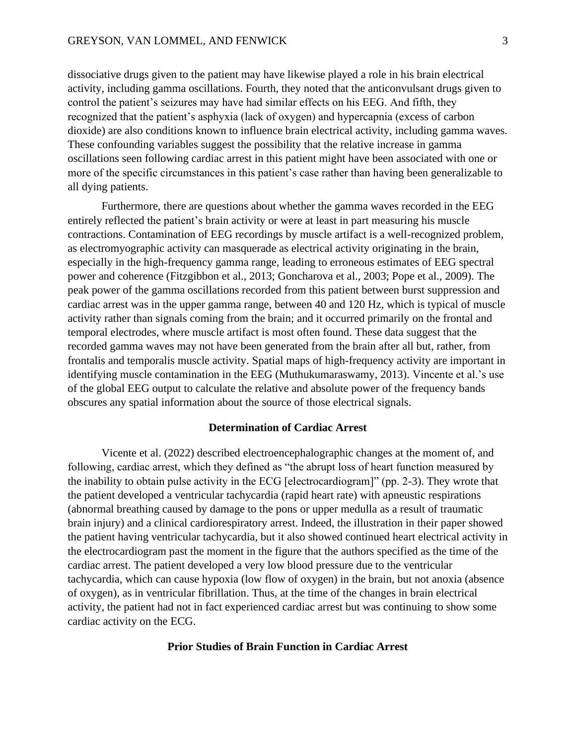#### GREYSON, VAN LOMMEL, AND FENWICK 3

dissociative drugs given to the patient may have likewise played a role in his brain electrical activity, including gamma oscillations. Fourth, they noted that the anticonvulsant drugs given to control the patient's seizures may have had similar effects on his EEG. And fifth, they recognized that the patient's asphyxia (lack of oxygen) and hypercapnia (excess of carbon dioxide) are also conditions known to influence brain electrical activity, including gamma waves. These confounding variables suggest the possibility that the relative increase in gamma oscillations seen following cardiac arrest in this patient might have been associated with one or more of the specific circumstances in this patient's case rather than having been generalizable to all dying patients.

Furthermore, there are questions about whether the gamma waves recorded in the EEG entirely reflected the patient's brain activity or were at least in part measuring his muscle contractions. Contamination of EEG recordings by muscle artifact is a well-recognized problem, as electromyographic activity can masquerade as electrical activity originating in the brain, especially in the high-frequency gamma range, leading to erroneous estimates of EEG spectral power and coherence (Fitzgibbon et al., 2013; Goncharova et al., 2003; Pope et al., 2009). The peak power of the gamma oscillations recorded from this patient between burst suppression and cardiac arrest was in the upper gamma range, between 40 and 120 Hz, which is typical of muscle activity rather than signals coming from the brain; and it occurred primarily on the frontal and temporal electrodes, where muscle artifact is most often found. These data suggest that the recorded gamma waves may not have been generated from the brain after all but, rather, from frontalis and temporalis muscle activity. Spatial maps of high-frequency activity are important in identifying muscle contamination in the EEG (Muthukumaraswamy, 2013). Vincente et al.'s use of the global EEG output to calculate the relative and absolute power of the frequency bands obscures any spatial information about the source of those electrical signals.

### **Determination of Cardiac Arrest**

Vicente et al. (2022) described electroencephalographic changes at the moment of, and following, cardiac arrest, which they defined as "the abrupt loss of heart function measured by the inability to obtain pulse activity in the ECG [electrocardiogram]" (pp. 2-3). They wrote that the patient developed a ventricular tachycardia (rapid heart rate) with apneustic respirations (abnormal breathing caused by damage to the pons or upper medulla as a result of traumatic brain injury) and a clinical cardiorespiratory arrest. Indeed, the illustration in their paper showed the patient having ventricular tachycardia, but it also showed continued heart electrical activity in the electrocardiogram past the moment in the figure that the authors specified as the time of the cardiac arrest. The patient developed a very low blood pressure due to the ventricular tachycardia, which can cause hypoxia (low flow of oxygen) in the brain, but not anoxia (absence of oxygen), as in ventricular fibrillation. Thus, at the time of the changes in brain electrical activity, the patient had not in fact experienced cardiac arrest but was continuing to show some cardiac activity on the ECG.

# **Prior Studies of Brain Function in Cardiac Arrest**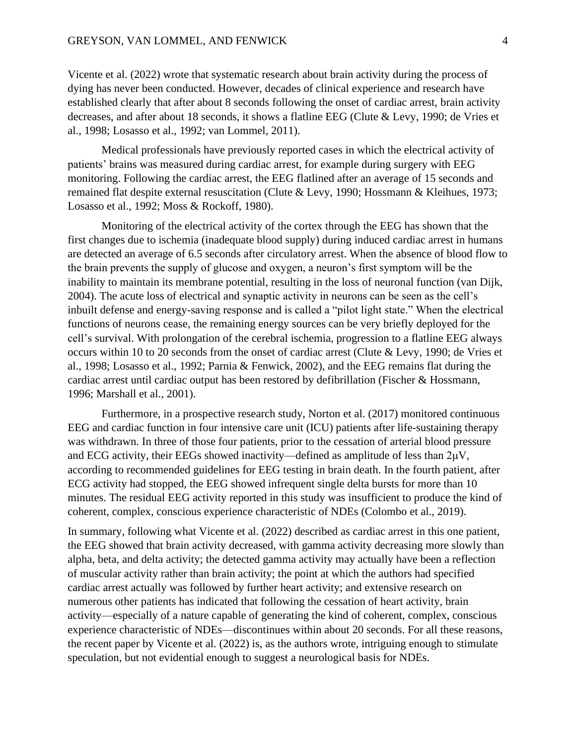### GREYSON, VAN LOMMEL, AND FENWICK 4

Vicente et al. (2022) wrote that systematic research about brain activity during the process of dying has never been conducted. However, decades of clinical experience and research have established clearly that after about 8 seconds following the onset of cardiac arrest, brain activity decreases, and after about 18 seconds, it shows a flatline EEG (Clute & Levy, 1990; de Vries et al., 1998; Losasso et al., 1992; van Lommel, 2011).

Medical professionals have previously reported cases in which the electrical activity of patients' brains was measured during cardiac arrest, for example during surgery with EEG monitoring. Following the cardiac arrest, the EEG flatlined after an average of 15 seconds and remained flat despite external resuscitation (Clute & Levy, 1990; Hossmann & Kleihues, 1973; Losasso et al., 1992; Moss & Rockoff, 1980).

Monitoring of the electrical activity of the cortex through the EEG has shown that the first changes due to ischemia (inadequate blood supply) during induced cardiac arrest in humans are detected an average of 6.5 seconds after circulatory arrest. When the absence of blood flow to the brain prevents the supply of glucose and oxygen, a neuron's first symptom will be the inability to maintain its membrane potential, resulting in the loss of neuronal function (van Dijk, 2004). The acute loss of electrical and synaptic activity in neurons can be seen as the cell's inbuilt defense and energy-saving response and is called a "pilot light state." When the electrical functions of neurons cease, the remaining energy sources can be very briefly deployed for the cell's survival. With prolongation of the cerebral ischemia, progression to a flatline EEG always occurs within 10 to 20 seconds from the onset of cardiac arrest (Clute & Levy, 1990; de Vries et al., 1998; Losasso et al., 1992; Parnia & Fenwick, 2002), and the EEG remains flat during the cardiac arrest until cardiac output has been restored by defibrillation (Fischer & Hossmann, 1996; Marshall et al., 2001).

Furthermore, in a prospective research study, Norton et al. (2017) monitored continuous EEG and cardiac function in four intensive care unit (ICU) patients after life-sustaining therapy was withdrawn. In three of those four patients, prior to the cessation of arterial blood pressure and ECG activity, their EEGs showed inactivity—defined as amplitude of less than  $2\mu$ V, according to recommended guidelines for EEG testing in brain death. In the fourth patient, after ECG activity had stopped, the EEG showed infrequent single delta bursts for more than 10 minutes. The residual EEG activity reported in this study was insufficient to produce the kind of coherent, complex, conscious experience characteristic of NDEs (Colombo et al., 2019).

In summary, following what Vicente et al. (2022) described as cardiac arrest in this one patient, the EEG showed that brain activity decreased, with gamma activity decreasing more slowly than alpha, beta, and delta activity; the detected gamma activity may actually have been a reflection of muscular activity rather than brain activity; the point at which the authors had specified cardiac arrest actually was followed by further heart activity; and extensive research on numerous other patients has indicated that following the cessation of heart activity, brain activity—especially of a nature capable of generating the kind of coherent, complex, conscious experience characteristic of NDEs—discontinues within about 20 seconds. For all these reasons, the recent paper by Vicente et al. (2022) is, as the authors wrote, intriguing enough to stimulate speculation, but not evidential enough to suggest a neurological basis for NDEs.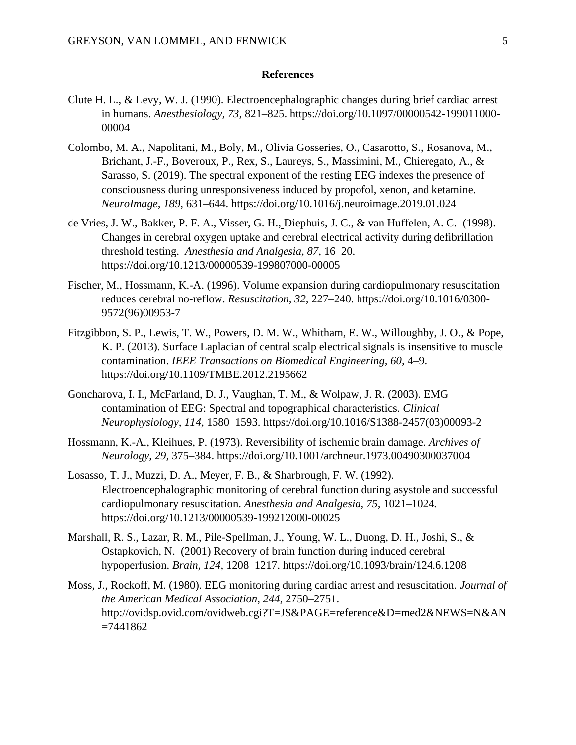### **References**

- Clute H. L., & Levy, W. J. (1990). Electroencephalographic changes during brief cardiac arrest in humans. *Anesthesiology, 73,* 821–825. https://doi.org/10.1097/00000542-199011000- 00004
- Colombo, M. A., Napolitani, M., Boly, M., Olivia Gosseries, O., Casarotto, S., Rosanova, M., Brichant, J.-F., Boveroux, P., Rex, S., Laureys, S., Massimini, M., Chieregato, A., & Sarasso, S. (2019). The spectral exponent of the resting EEG indexes the presence of consciousness during unresponsiveness induced by propofol, xenon, and ketamine. *NeuroImage, 189,* 631–644. https://doi.org/10.1016/j.neuroimage.2019.01.024
- de Vries, J. W., Bakker, P. F. A., Visser, G. H., Diephuis, J. C., & van Huffelen, A. C. (1998). Changes in cerebral oxygen uptake and cerebral electrical activity during defibrillation threshold testing. *Anesthesia and Analgesia, 87,* 16–20. https://doi.org/10.1213/00000539-199807000-00005
- Fischer, M., Hossmann, K.-A. (1996). Volume expansion during cardiopulmonary resuscitation reduces cerebral no-reflow. *Resuscitation, 32,* 227–240. https://doi.org/10.1016/0300- 9572(96)00953-7
- Fitzgibbon, S. P., Lewis, T. W., Powers, D. M. W., Whitham, E. W., Willoughby, J. O., & Pope, K. P. (2013). Surface Laplacian of central scalp electrical signals is insensitive to muscle contamination. *IEEE Transactions on Biomedical Engineering, 60,* 4–9. https://doi.org/10.1109/TMBE.2012.2195662
- Goncharova, I. I., McFarland, D. J., Vaughan, T. M., & Wolpaw, J. R. (2003). EMG contamination of EEG: Spectral and topographical characteristics. *Clinical Neurophysiology, 114,* 1580–1593. https://doi.org/10.1016/S1388-2457(03)00093-2
- Hossmann, K.-A., Kleihues, P. (1973). Reversibility of ischemic brain damage. *Archives of Neurology, 29,* 375–384. https://doi.org/10.1001/archneur.1973.00490300037004
- Losasso, T. J., Muzzi, D. A., Meyer, F. B., & Sharbrough, F. W. (1992). Electroencephalographic monitoring of cerebral function during asystole and successful cardiopulmonary resuscitation. *Anesthesia and Analgesia, 75,* 1021–1024. https://doi.org/10.1213/00000539-199212000-00025
- Marshall, R. S., Lazar, R. M., Pile-Spellman, J., Young, W. L., Duong, D. H., Joshi, S., & Ostapkovich, N. (2001) Recovery of brain function during induced cerebral hypoperfusion. *Brain, 124,* 1208–1217. https://doi.org/10.1093/brain/124.6.1208
- Moss, J., Rockoff, M. (1980). EEG monitoring during cardiac arrest and resuscitation. *Journal of the American Medical Association, 244,* 2750–2751. http://ovidsp.ovid.com/ovidweb.cgi?T=JS&PAGE=reference&D=med2&NEWS=N&AN  $=7441862$